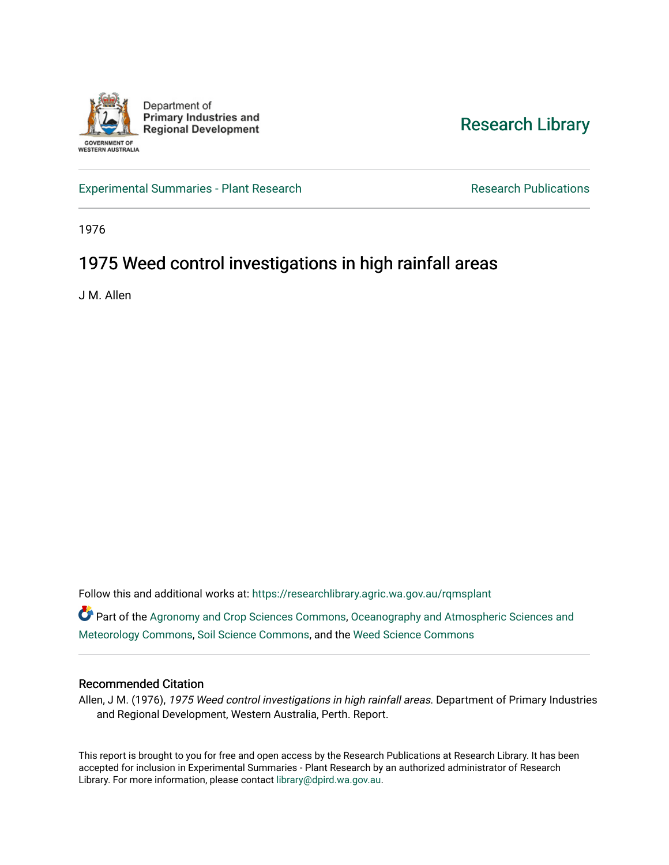

## [Research Library](https://researchlibrary.agric.wa.gov.au/)

[Experimental Summaries - Plant Research](https://researchlibrary.agric.wa.gov.au/rqmsplant) **Research Research Rublications** Research Publications

1976

# 1975 Weed control investigations in high rainfall areas

J M. Allen

Follow this and additional works at: [https://researchlibrary.agric.wa.gov.au/rqmsplant](https://researchlibrary.agric.wa.gov.au/rqmsplant?utm_source=researchlibrary.agric.wa.gov.au%2Frqmsplant%2F107&utm_medium=PDF&utm_campaign=PDFCoverPages) 

Part of the [Agronomy and Crop Sciences Commons,](http://network.bepress.com/hgg/discipline/103?utm_source=researchlibrary.agric.wa.gov.au%2Frqmsplant%2F107&utm_medium=PDF&utm_campaign=PDFCoverPages) [Oceanography and Atmospheric Sciences and](http://network.bepress.com/hgg/discipline/186?utm_source=researchlibrary.agric.wa.gov.au%2Frqmsplant%2F107&utm_medium=PDF&utm_campaign=PDFCoverPages) [Meteorology Commons](http://network.bepress.com/hgg/discipline/186?utm_source=researchlibrary.agric.wa.gov.au%2Frqmsplant%2F107&utm_medium=PDF&utm_campaign=PDFCoverPages), [Soil Science Commons](http://network.bepress.com/hgg/discipline/163?utm_source=researchlibrary.agric.wa.gov.au%2Frqmsplant%2F107&utm_medium=PDF&utm_campaign=PDFCoverPages), and the [Weed Science Commons](http://network.bepress.com/hgg/discipline/1267?utm_source=researchlibrary.agric.wa.gov.au%2Frqmsplant%2F107&utm_medium=PDF&utm_campaign=PDFCoverPages)

## Recommended Citation

Allen, J M. (1976), 1975 Weed control investigations in high rainfall areas. Department of Primary Industries and Regional Development, Western Australia, Perth. Report.

This report is brought to you for free and open access by the Research Publications at Research Library. It has been accepted for inclusion in Experimental Summaries - Plant Research by an authorized administrator of Research Library. For more information, please contact [library@dpird.wa.gov.au.](mailto:library@dpird.wa.gov.au)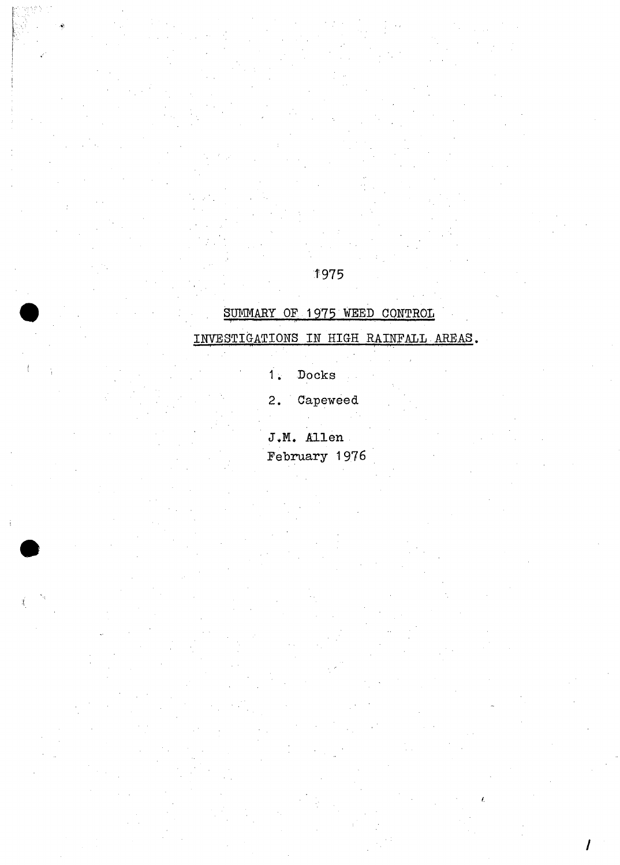## 1975

## SUMMARY OF 1975 WEED CONTROL

## INVESTIGATIONS IN HIGH RAINFALL AREAS.

- $\mathop{\texttt{Docks}}$  $\vec{1}$
- Capeweed  $2.$

J.M. Allen February 1976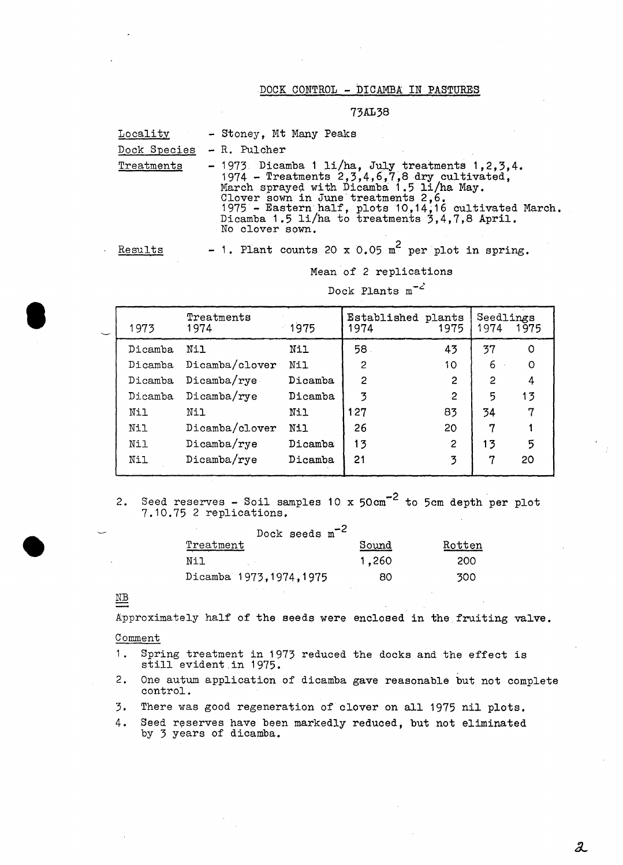#### DOCK CONTROL - DICAMBA IN PASTURES

#### 73AL38

| Locality   | - Stoney, Mt Many Peaks                                                                                                                                                                                                                                                                                                     |
|------------|-----------------------------------------------------------------------------------------------------------------------------------------------------------------------------------------------------------------------------------------------------------------------------------------------------------------------------|
|            | Dock Species - R. Pulcher                                                                                                                                                                                                                                                                                                   |
| Treatments | $-1973$ Dicamba 1 li/ha, July treatments 1,2,3,4.<br>1974 - Treatments $2, 3, 4, 6, 7, 8$ dry cultivated,<br>March sprayed with Dicamba 1.5 li/ha May.<br>Clover sown in June treatments 2.6.<br>1975 - Eastern half, plots 10,14,16 cultivated March.<br>Dicamba 1.5 li/ha to treatments 3,4,7,8 April.<br>No clover sown. |
| Aesults –  | - 1. Plant counts 20 x 0.05 m <sup>2</sup> per plot in spring.                                                                                                                                                                                                                                                              |

Mean of 2 replications

Dock Plants  $m^{-2}$ 

| 1973    | Treatments<br>1974 | 1975    | Established plants<br>1974 | 1975            | Seedlings<br>1974 | 1975 |
|---------|--------------------|---------|----------------------------|-----------------|-------------------|------|
| Dicamba | Nil                | Nil     | 58.                        | 43              | 37                | O    |
| Dicamba | Dicamba/clover     | Nil     | $\mathcal{P}$              | 10 <sup>°</sup> | 6                 | O    |
| Dicamba | Dicamba/rye        | Dicamba | 2                          | $\overline{2}$  | 2                 | 4    |
| Dicamba | Dicamba/rye        | Dicamba | 3                          | $\overline{c}$  | 5                 | 13   |
| Nil     | Nil                | Nil     | 127                        | 83              | 34                | 7    |
| Nil     | Dicamba/clover     | Nil     | 26                         | 20              | 7                 |      |
| Nil     | Dicamba/rye        | Dicamba | 13                         | $\overline{2}$  | 13                | 5    |
| Nil     | Dicamba/rye        | Dicamba | 21                         | 3               | 7                 | 20   |

2. Seed reserves - Soil samples 10 x  $50 \text{ cm}^{-2}$  to 5cm depth per plot 7.10.75 2 replications.

| Dock seeds $m^{-2}$      |              |        |
|--------------------------|--------------|--------|
| Treatment                | <u>Sound</u> | Rotten |
| Nil                      | 1,260        | 200    |
| Dicamba 1973, 1974, 1975 | 80           | 300    |

## NB

**•** 

•

Approximately half of the seeds were enclosed in the fruiting valve.

#### Comment

- 1. Spring treatment in 1973 reduced the docks and the effect is still evident.in 1975.
- 2. One autum application of dicamba gave reasonable but not complete control.
- 3. There was good regeneration of clover on all 1975 nil plots.
- 4. Seed reserves have been markedly reduced, but not eliminated by 3 years of dicamba.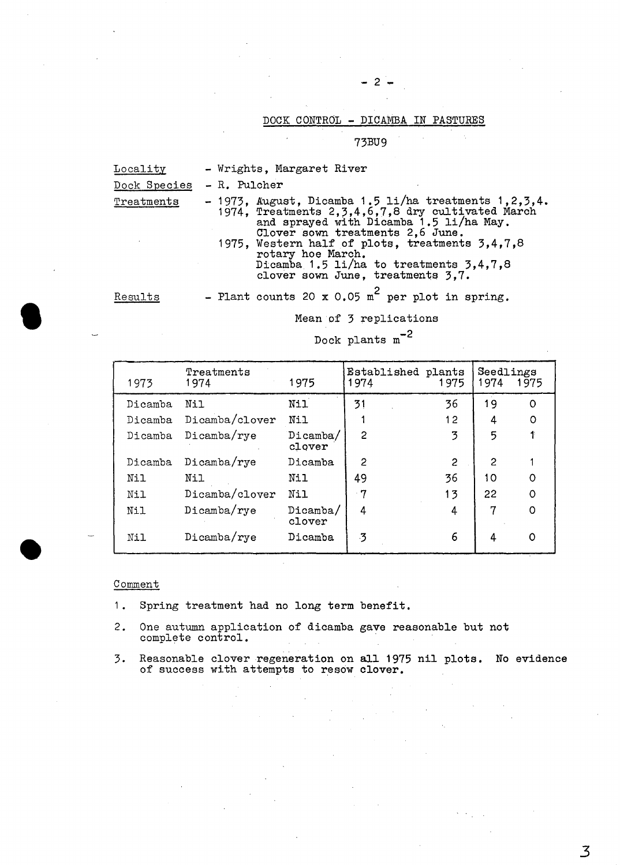## DOCK CONTROL - DICAMBA IN PASTURES

 $2 -$ 

73BU9

| Locality     | - Wrights, Margaret River                                                                                                                                                                         |  |  |  |  |  |  |
|--------------|---------------------------------------------------------------------------------------------------------------------------------------------------------------------------------------------------|--|--|--|--|--|--|
| Dock Species | - R. Pulcher                                                                                                                                                                                      |  |  |  |  |  |  |
| Treatments   | - 1973, August, Dicamba 1.5 li/ha treatments 1, 2, 3, 4.<br>1974, Treatments 2, 3, 4, 6, 7, 8 dry cultivated March<br>and sprayed with Dicamba 1.5 li/ha May.<br>Clover sown treatments 2,6 June. |  |  |  |  |  |  |
|              | 1975, Western half of plots, treatments $3,4,7,8$<br>rotary hoe March.<br>Dicamba 1.5 li/ha to treatments 3,4.7.8<br>clover sown June, treatments 3.7.                                            |  |  |  |  |  |  |
| Results      | - Plant counts 20 x 0.05 m <sup>2</sup> per plot in spring.                                                                                                                                       |  |  |  |  |  |  |

Mean of 3 replications

Dock plants  $\text{m}^{-2}$ 

| 1973    | Treatments<br>1974 | 1975               | Established plants<br>1974 | 1975 | Seedlings<br>1974 | 1975     |
|---------|--------------------|--------------------|----------------------------|------|-------------------|----------|
| Dicamba | Nil                | Nil                | 31                         | 36   | 19                | 0        |
| Dicamba | Dicamba/clover     | Nil                |                            | 12   | 4                 | O        |
| Dicamba | Dicamba/rye        | Dicamba/<br>clover | $\overline{c}$             | 3    | 5                 |          |
| Dicamba | Dicamba/rye        | Dicamba            | 2                          | 2    | 2                 |          |
| Nil     | Nil                | Nil                | 49                         | 36   | 10                | $\Omega$ |
| Nil     | Dicamba/clover     | Nil                | $-7$                       | 13   | 22                | $\circ$  |
| Nil     | Dicamba/rye        | Dicamba/<br>clover | 4                          | 4    | 7                 | $\circ$  |
| Nil     | Dicamba/rye        | Dicamba            | 3                          | 6    | 4                 | O        |

### Comment

•

•

- 1. Spring treatment had no long term benefit.
- 2. One autumn application of dicamba gave reasonable but not complete control.
- 3. Reasonable clover regeneration on all 1975 nil plots. No evidence of success with attempts to resow clover.

*3*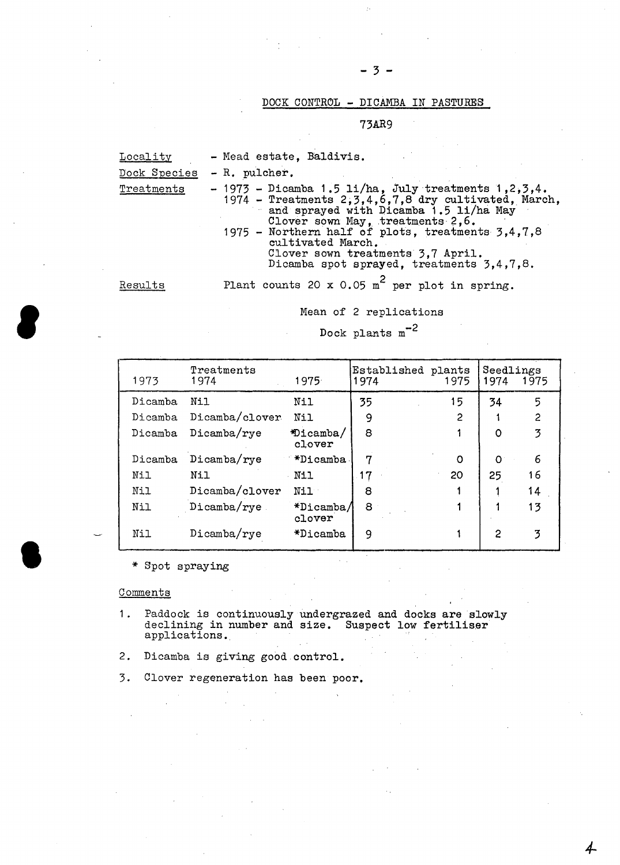### DOCK CONTROL - DICAMBA IN PASTURES

- 3 -

73AR9

| <b>Locality</b> | - Mead estate, Baldivis.                                                                                                                                                                                                                                                                                                                                     |
|-----------------|--------------------------------------------------------------------------------------------------------------------------------------------------------------------------------------------------------------------------------------------------------------------------------------------------------------------------------------------------------------|
| Dock Species    | - R. pulcher.                                                                                                                                                                                                                                                                                                                                                |
| Treatments      | $-1973$ - Dicamba 1.5 li/ha, July treatments 1,2,3,4.<br>1974 - Treatments 2, 3, 4, 6, 7, 8 dry cultivated, March,<br>and sprayed with Dicamba 1.5 li/ha May<br>Clover sown May, treatments 2,6.<br>1975 - Northern half of plots, treatments 3,4,7,8<br>cultivated March.<br>Clover sown treatments 3.7 April.<br>Dicamba spot sprayed, treatments 3,4,7,8. |
| Results         | Plant counts 20 x 0.05 m <sup>2</sup> per plot in spring.                                                                                                                                                                                                                                                                                                    |

#### Mean of 2 replications

Dock plants m-<sup>2</sup>

| 1973    | Treatments<br>1974 | 1975                | Established plants<br>1974 | 1975 | Seedlings<br>1974 | 1975 |
|---------|--------------------|---------------------|----------------------------|------|-------------------|------|
| Dicamba | Nil                | Nil                 | 35                         | 15   | 34                | 5    |
| Dicamba | Dicamba/clover     | Nil                 | 9                          | 2    |                   | 2    |
| Dicamba | Dicamba/rye        | *Dicamba/<br>clover | 8                          |      | $\Omega$          | 3    |
| Dicamba | $Dicamba/ry$ e     | *Dicamba            | 7                          | O    | $\Omega$          | 6    |
| Nil     | Nil                | Nil                 | 17                         | 20   | 25                | 16   |
| Nil     | Dicamba/clover     | N11                 | 8                          |      |                   | 14   |
| Nil     | $Di$ camba $/$ rye | *Dicamba/<br>clover | 8                          |      |                   | 13   |
| Nil     | Dicamba/rye        | $*$ Dicamba         | 9                          |      | 2                 | 3    |

\* Spot spraying

## **Comments**

**'** 

•

1. Paddock is continuously undergrazed and docks are slowly declining in number and size. Suspect low fertiliser applications.

*4-*

- 2. Dicamba is giving good.control.
- 3. Clover regeneration has been poor.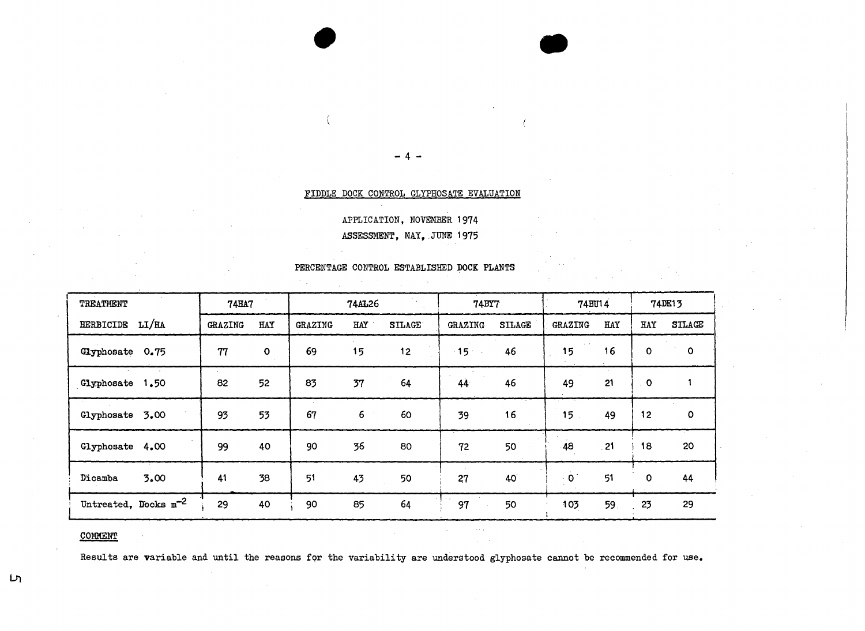#### FIDDLE DOCK CONTROL GLYPHOSATE EVALUATION

APPLICATION, NOVEMBER 1974 ASSESSMENT, MAY, JUNE 1975

| TREATMENT                 | <b>74HA7</b> |              |         | <b>74AL26</b> |               | <b>74BY7</b>   |               | 74BU14          |            |                | 74DE13        |
|---------------------------|--------------|--------------|---------|---------------|---------------|----------------|---------------|-----------------|------------|----------------|---------------|
| HERBICIDE LI/HA           | GRAZING      | HAY          | GRAZING | HAY           | <b>SILAGE</b> | <b>GRAZING</b> | <b>SILAGE</b> | GRAZING         | <b>HAY</b> | HAY            | <b>STLAGE</b> |
| Glyphosate 0.75           | 77           | $\mathbf{o}$ | 69      | 15            | 12            | $15 -$         | 46            | 15              | 16         | $\mathbf 0$    | $\mathbf{o}$  |
| Glyphosate 1.50           | 82           | 52           | 83      | 37            | 64            | 44             | 46            | 49              | 21         | $\overline{0}$ |               |
| Glyphosate 3.00           | 93           | 53           | 67      | 6             | 60            | 39             | 16            | 15 <sub>1</sub> | 49         | 12             | o             |
| Glyphosate<br>4.00        | 99           | 40           | 90      | 36            | 80            | 72             | 50            | 48              | 21         | 18             | 20            |
| 3.00<br>Dicamba           | 41           | 38           | 51      | 43            | 50            | 27             | 40            | $\cdot$ 0       | 51         | $\mathbf 0$    | 44            |
| Untreated, Docks $m^{-2}$ | 29           | 40           | 90      | 85            | 64            | 97             | 50            | 103             | 59.        | 23             | 29            |

#### PERCENTAGE CONTROL ESTABLISHED DOCK PLANTS

### COMMENT

Results are variable and until the reasons for the variability are understood glyphosate cannot be recommended for use.

 $\bar{\psi}_{\rm{max}}$ 

ِس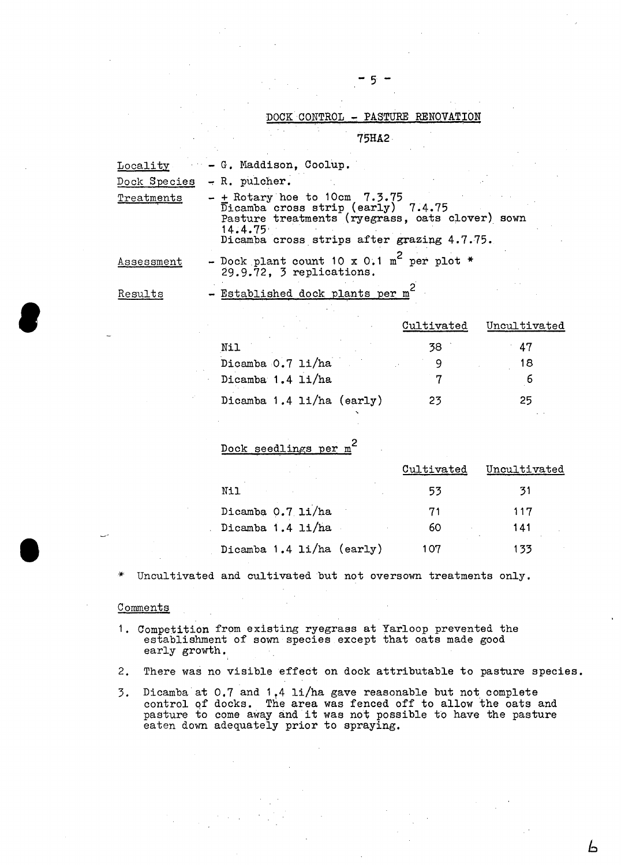#### DOCK CONTROL - PASTURE RENOVATION

5 -

75HA2·

| <b>Locality</b> | - G. Maddison, Coolup.                                                                                                                                                                          |
|-----------------|-------------------------------------------------------------------------------------------------------------------------------------------------------------------------------------------------|
|                 | Dock Species - R. pulcher.                                                                                                                                                                      |
| Treatments      | $-$ + Rotary hoe to 10cm 7.3.75<br>$\overline{D}$ icamba cross strip (early) 7.4.75<br>Pasture treatments (ryegrass, oats clover) sown<br>14.4.75<br>Dicamba cross strips after grazing 4.7.75. |
| Assessment      | - Dock plant count 10 x 0.1 m <sup>2</sup> per plot *<br>29.9.72, 3 replications.                                                                                                               |
| Results         | - Established dock plants per m'                                                                                                                                                                |

|                           | Cultivated | Uncultivated |
|---------------------------|------------|--------------|
| Nil                       | 38         | 47           |
| Dicamba 0.7 li/ha         |            | 18           |
| Dicamba 1.4 li/ha         |            |              |
| Dicamba 1.4 li/ha (early) | 23         | 25           |

Dock seedlings per m<sup>2</sup>

|                           | Cultivated | Uncultivated |
|---------------------------|------------|--------------|
| Nil                       | 53         | 31           |
| Dicamba 0.7 li/ha         | 71         | 117          |
| Dicamba 1.4 li/ha         | 60         | 141          |
| Dicamba 1.4 li/ha (early) | 107        | 133          |

Ь

\* Uncultivated and cultivated but not oversown treatments only.

#### **Comments**

**e** 

 $\bullet$ 

- 1. Competition from existing ryegrass at Yarloop prevented the establishment of sown species except that oats made good early growth.
- 2. There was no visible effect on dock attributable to pasture species.
- 3. Dicamba at  $0.7$  and  $1.4$  li/ha gave reasonable but not complete control of docks. The area was fenced off to allow the oats and pasture to come away and it was not possible to have the pasture eaten down adequately prior to spraying.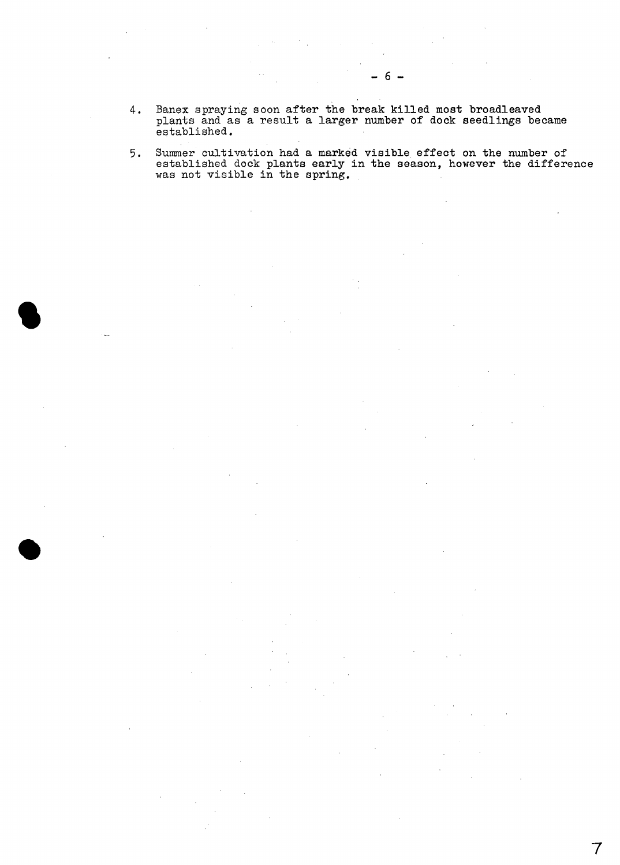4. Banex spraying soon after the break killed most broadleaved plants and as a result a larger number of dock seedlings became established.

**•** 

•

5. Summer cultivation had a marked visible effect on the number of established dock plants early in the season, however the difference was not visible in the spring.

- 6 -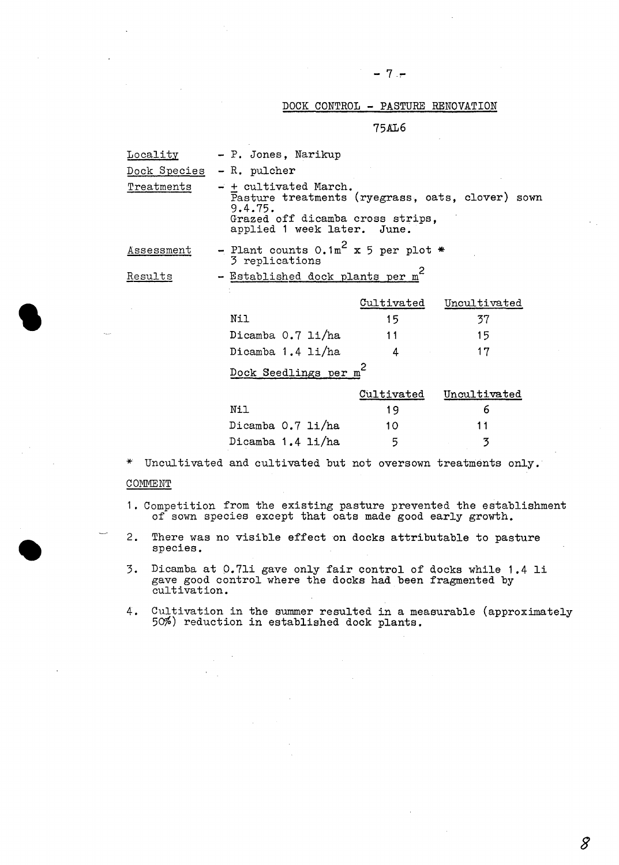### DOCK CONTROL - PASTURE RENOVATION

75AL6

| <u>Locality</u> | - P. Jones, Narikup                                                                                                                                     |                   |              |
|-----------------|---------------------------------------------------------------------------------------------------------------------------------------------------------|-------------------|--------------|
| Dock Species    | $- R.$ pulcher                                                                                                                                          |                   |              |
| Treatments      | - + cultivated March.<br>Pasture treatments (ryegrass, oats, clover) sown<br>9.4.75.<br>Grazed off dicamba cross strips,<br>applied 1 week later. June. |                   |              |
| Assessment      | - Plant counts $0.1m^2$ x 5 per plot *<br>3 replications                                                                                                |                   |              |
| Results         | - Established dock plants per m'                                                                                                                        |                   |              |
|                 |                                                                                                                                                         | Cultivated        | Uncultivated |
|                 | Nil                                                                                                                                                     | 15                | 37           |
|                 | Dicamba 0.7 li/ha                                                                                                                                       | 11                | 15           |
|                 | Dicamba 1.4 li/ha                                                                                                                                       | 4                 | 17           |
|                 | Dock Seedlings per m                                                                                                                                    |                   |              |
|                 |                                                                                                                                                         | <u>Cultivated</u> | Uncultivated |
|                 | Nil                                                                                                                                                     | 19                | 6            |
|                 | Dicamba 0.7 li/ha                                                                                                                                       | 10                | 11           |
|                 | Dicamba 1.4 li/ha                                                                                                                                       | 5                 | 3            |
|                 |                                                                                                                                                         |                   |              |

\* Uncultivated and cultivated but not oversown treatments only.

#### COMMENT

**•** 

•

1. Competition from the existing pasture prevented the establishment of sown species except that oats made good early growth.

2. There was no visible effect on docks attributable to pasture species.

3. Dicamba at 0.7li gave only fair control of docks while 1.4 li gave good control where the docks had been fragmented by cultivation.

4. Cultivation in the summer resulted in a measurable (approximately 50%) reduction in established dock plants.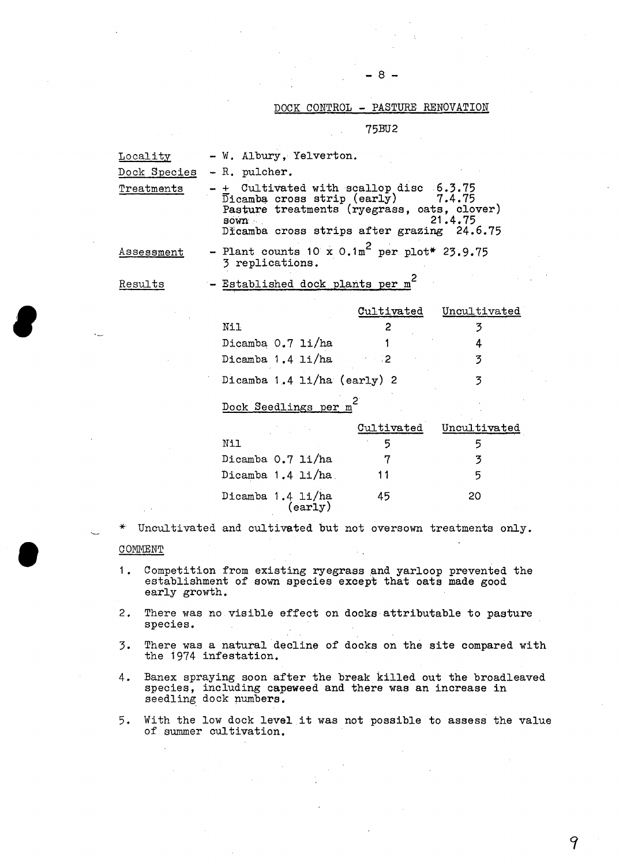$- 8 -$ 

### DOCK CONTROL - PASTURE RENOVATION

75BU2

| Locality<br>Dock Species<br>Treatments | - W. Albury, Yelverton.<br>- R. pulcher.<br>+ Cultivated with scallop disc 6.3.75<br>$\overline{\text{D}}$ icamba cross strip (early)<br>Pasture treatments (ryegrass, oats, clover)<br><b>BOWN</b><br>Dicamba cross strips after grazing 24.6.75 |                   | 7.4.75<br>21.4.75 |
|----------------------------------------|---------------------------------------------------------------------------------------------------------------------------------------------------------------------------------------------------------------------------------------------------|-------------------|-------------------|
| Assessment                             | - Plant counts 10 x $0.1 \text{m}^2$ per plot* 23.9.75<br>3 replications.                                                                                                                                                                         |                   |                   |
| Results                                | - Established dock plants per m <sup>2</sup>                                                                                                                                                                                                      |                   |                   |
|                                        |                                                                                                                                                                                                                                                   | <u>Cultivated</u> | Uncultivated      |
|                                        | Nil                                                                                                                                                                                                                                               | 2                 | 3                 |
|                                        | Dicamba 0.7 li/ha                                                                                                                                                                                                                                 |                   | 4                 |
|                                        | Dicamba 1.4 li/ha                                                                                                                                                                                                                                 | - 2               | $\overline{3}$    |
|                                        | Dicamba 1.4 $11/ha$ (early) 2                                                                                                                                                                                                                     |                   | 3                 |
|                                        | Dock Seedlings per m                                                                                                                                                                                                                              |                   |                   |
|                                        |                                                                                                                                                                                                                                                   | Cultivated        | Uncultivated      |
|                                        | Nil                                                                                                                                                                                                                                               | 5                 | 5                 |
|                                        | Dicamba 0.7 li/ha                                                                                                                                                                                                                                 | 7                 | $\overline{3}$    |
|                                        | Dicamba 1.4 li/ha                                                                                                                                                                                                                                 | 11                | 5                 |
|                                        | Dicamba 1.4 li/ha<br>(early)                                                                                                                                                                                                                      | 45                | 20                |
| ∗                                      | Uncultivated and cultivated but not oversown treatments only.                                                                                                                                                                                     |                   |                   |
| COMMENT                                |                                                                                                                                                                                                                                                   |                   |                   |
| 1.<br>early growth.                    | Competition from existing ryegrass and yarloop prevented the<br>establishment of sown species except that oats made good                                                                                                                          |                   |                   |
| 2.<br>species.                         | There was no visible effect on docks attributable to pasture                                                                                                                                                                                      |                   |                   |

**e** 

**•** 

- 3. There was a natural decline of docks on the site compared with the 1974 infestation.
- 4. Banex spraying soon after the break killed out the broadleaved species, including capeweed and there was an increase in seedling dock numbers.
- 5. With the low dock level it was not possible to assess the value of summer cultivation.

9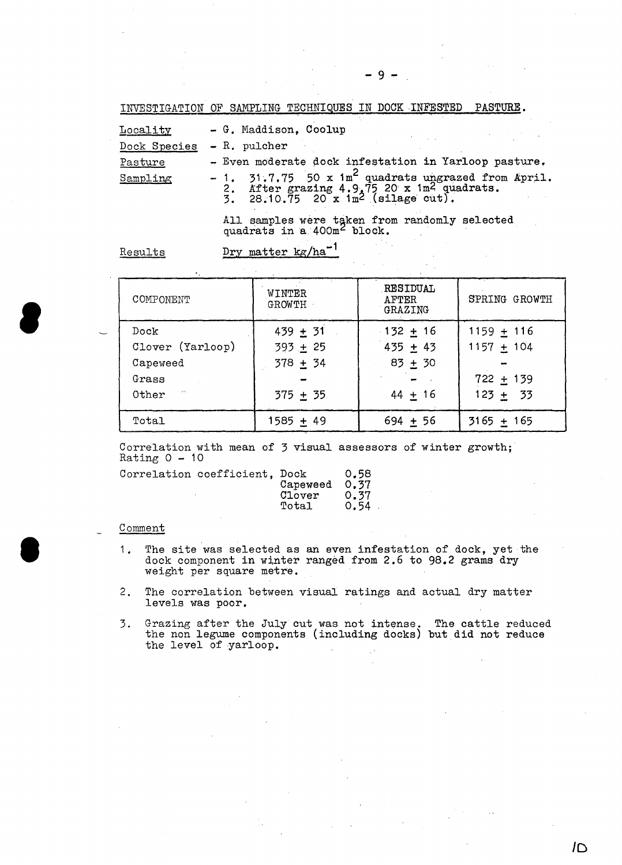INVESTIGATION OF SAMPLING TECHNIQUES IN DOCK INFESTED PASTURE.

| Locality     | - G. Maddison, Coolup                                                                                                                                                             |
|--------------|-----------------------------------------------------------------------------------------------------------------------------------------------------------------------------------|
| Dock Species | - R. pulcher                                                                                                                                                                      |
| Pasture      | - Even moderate dock infestation in Yarloop pasture.                                                                                                                              |
| Sampling     | - 1. $31.7.75$ 50 x 1m <sup>2</sup> quadrats ungrazed from April.<br>2. After grazing $4.9.7520 \times 1 \text{ m}^2$ quadrats.<br>3. 28.10.75 20 x 1m <sup>2</sup> (silage cut). |

All samples were taken from randomly selected quadrats in a 400m<sup>2</sup> block.

Results Dry matter kg/ha<sup>-1</sup>

| COMPONENT                   | WINTER<br>GROWTH | RESIDUAL<br>AFTER<br>GRAZING | SPRING GROWTH |
|-----------------------------|------------------|------------------------------|---------------|
| Dock                        | $439 + 31$       | $-132 + 16$                  | $1159 + 116$  |
| Clover (Yarloop)            | $393 + 25$       | $435 + 43$                   | $1157 + 104$  |
| Capeweed                    | $378 + 34$       | $83 + 30$                    |               |
| Grass                       |                  |                              | $722 + 139$   |
| <b>Controllers</b><br>Other | $375 + 35$       | $44 + 16$                    | $123 + 33$    |
| Total                       | 1585 + 49        | $694 + 56$                   | $3165 + 165$  |

Correlation with mean of 3 visual assessors of winter growth;<br>Rating  $0 - 10$ 

| Correlation coefficient, Dock | Capeweed 0.37<br>Clover<br>Total | 0.58<br>0.37<br>0.54 |
|-------------------------------|----------------------------------|----------------------|
|                               |                                  |                      |

#### Comment

**8** 

I

- 1. The site was selected as an even infestation of dock, yet the dock component in winter ranged from 2.6 to 98.2 grams dry weight per square metre.
- 2. The correlation between visual ratings and actual dry matter levels was poor.
- 3. Grazing after the July cut was not intense. The cattle reduced the non legume components (including docks) but did not reduce the level of yarloop.  $\mathcal{L}$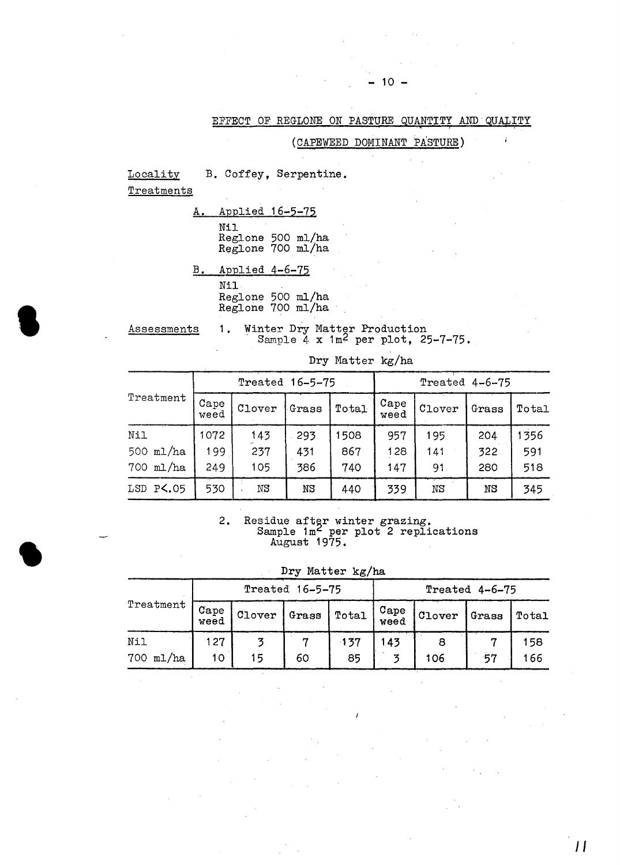EFFECT OF REGLONE ON PASTURE QUANTITY AND QUALITY

 $10 -$ 

(CAPEWEED DOMINANT PASTURE)

**Locality** Treatments B. Coffey, Serpentine.

**S** 

•

A. Applied 16-5-75 Nil B. Applied 4-6-75 Reglone 500 ml/ha Reglone 700 ml/ha

> Nil Reglone 500 ml/ha Reglone 700 ml/ha

Assessments 1. Winter Dry Matter Production Sample  $4 \times 1m^2$  per plot, 25-7-75.

|                       | Treated 16-5-75 |        |       |       | Treated $4-6-75$ |        |       |       |
|-----------------------|-----------------|--------|-------|-------|------------------|--------|-------|-------|
| Treatment             | Cape<br>weed    | Clover | Grass | Total | Cape<br>weed     | Clover | Grass | Total |
| Nil                   | 1072            | 143    | 293   | 1508  | 957              | 195    | 204   | 1356  |
| 500 ml/ha             | 199             | 237    | 431   | 867   | 128              | 141    | 322   | 591   |
| 700 ml/ha             | 249             | 105    | 386   | 740   | 147              | 91     | 280   | 518   |
| LSD P <b>&lt;.</b> 05 | 530             | ΝS     | ΝS    | 440   | 339              | NS     | NS    | 345   |

Dry Matter kg/ha

2. Residue after winter grazing.<br>Sample  $1m^2$  per plot 2 replications August 1975.

Dry Matter kg/ha

|           | Treated 16-5-75 |        |       |        | Treated 4-6-75 |        |       |       |
|-----------|-----------------|--------|-------|--------|----------------|--------|-------|-------|
| Treatment | Cape<br>weed    | Clover | Grass | Total  | Cape<br>weed   | Clover | Grass | Total |
| Nil       | 127             |        |       | $-137$ | 143            |        |       | 158   |
| 700 ml/ha | 10              | 15     | 60    | 85     | z              | 106    | 57    | 166   |

*JI*